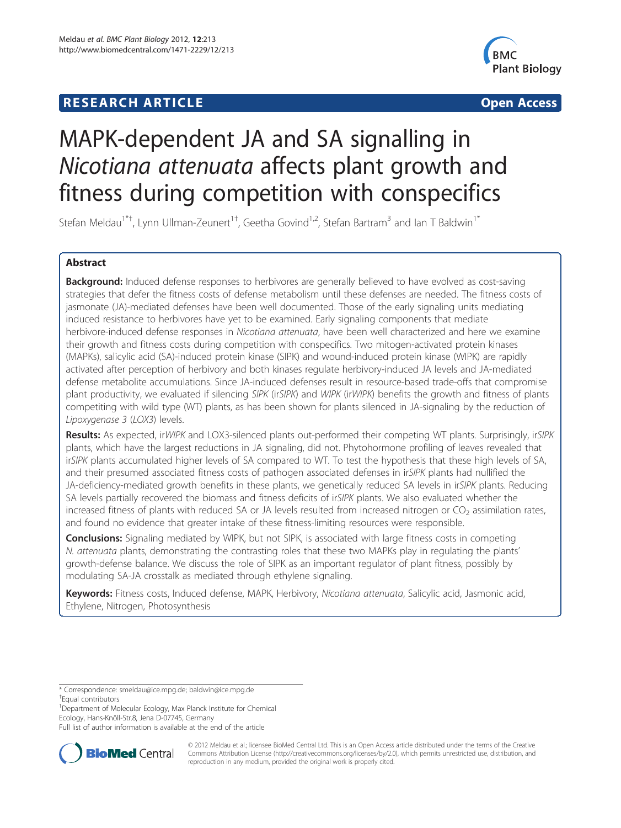## **RESEARCH ARTICLE Example 2008 CONSIDERING CONSIDERING CONSIDERING CONSIDERING CONSIDERING CONSIDERING CONSIDERING CONSIDERING CONSIDERING CONSIDERING CONSIDERING CONSIDERING CONSIDERING CONSIDERING CONSIDERING CONSIDE**



# MAPK-dependent JA and SA signalling in Nicotiana attenuata affects plant growth and fitness during competition with conspecifics

Stefan Meldau<sup>1\*†</sup>, Lynn Ullman-Zeunert<sup>1†</sup>, Geetha Govind<sup>1,2</sup>, Stefan Bartram<sup>3</sup> and Ian T Baldwin<sup>1\*</sup>

## Abstract

Background: Induced defense responses to herbivores are generally believed to have evolved as cost-saving strategies that defer the fitness costs of defense metabolism until these defenses are needed. The fitness costs of jasmonate (JA)-mediated defenses have been well documented. Those of the early signaling units mediating induced resistance to herbivores have yet to be examined. Early signaling components that mediate herbivore-induced defense responses in Nicotiana attenuata, have been well characterized and here we examine their growth and fitness costs during competition with conspecifics. Two mitogen-activated protein kinases (MAPKs), salicylic acid (SA)-induced protein kinase (SIPK) and wound-induced protein kinase (WIPK) are rapidly activated after perception of herbivory and both kinases regulate herbivory-induced JA levels and JA-mediated defense metabolite accumulations. Since JA-induced defenses result in resource-based trade-offs that compromise plant productivity, we evaluated if silencing SIPK (irSIPK) and WIPK (irWIPK) benefits the growth and fitness of plants competiting with wild type (WT) plants, as has been shown for plants silenced in JA-signaling by the reduction of Lipoxygenase 3 (LOX3) levels.

Results: As expected, irWIPK and LOX3-silenced plants out-performed their competing WT plants. Surprisingly, irSIPK plants, which have the largest reductions in JA signaling, did not. Phytohormone profiling of leaves revealed that irSIPK plants accumulated higher levels of SA compared to WT. To test the hypothesis that these high levels of SA, and their presumed associated fitness costs of pathogen associated defenses in irSIPK plants had nullified the JA-deficiency-mediated growth benefits in these plants, we genetically reduced SA levels in irSIPK plants. Reducing SA levels partially recovered the biomass and fitness deficits of irSIPK plants. We also evaluated whether the increased fitness of plants with reduced SA or JA levels resulted from increased nitrogen or  $CO<sub>2</sub>$  assimilation rates, and found no evidence that greater intake of these fitness-limiting resources were responsible.

**Conclusions:** Signaling mediated by WIPK, but not SIPK, is associated with large fitness costs in competing N. attenuata plants, demonstrating the contrasting roles that these two MAPKs play in regulating the plants' growth-defense balance. We discuss the role of SIPK as an important regulator of plant fitness, possibly by modulating SA-JA crosstalk as mediated through ethylene signaling.

Keywords: Fitness costs, Induced defense, MAPK, Herbivory, Nicotiana attenuata, Salicylic acid, Jasmonic acid, Ethylene, Nitrogen, Photosynthesis

\* Correspondence: [smeldau@ice.mpg.de](mailto:smeldau@ice.mpg.de); [baldwin@ice.mpg.de](mailto:baldwin@ice.mpg.de) †

Equal contributors

<sup>1</sup> Department of Molecular Ecology, Max Planck Institute for Chemical Ecology, Hans-Knöll-Str.8, Jena D-07745, Germany

Full list of author information is available at the end of the article



© 2012 Meldau et al.; licensee BioMed Central Ltd. This is an Open Access article distributed under the terms of the Creative Commons Attribution License [\(http://creativecommons.org/licenses/by/2.0\)](http://creativecommons.org/licenses/by/2.0), which permits unrestricted use, distribution, and reproduction in any medium, provided the original work is properly cited.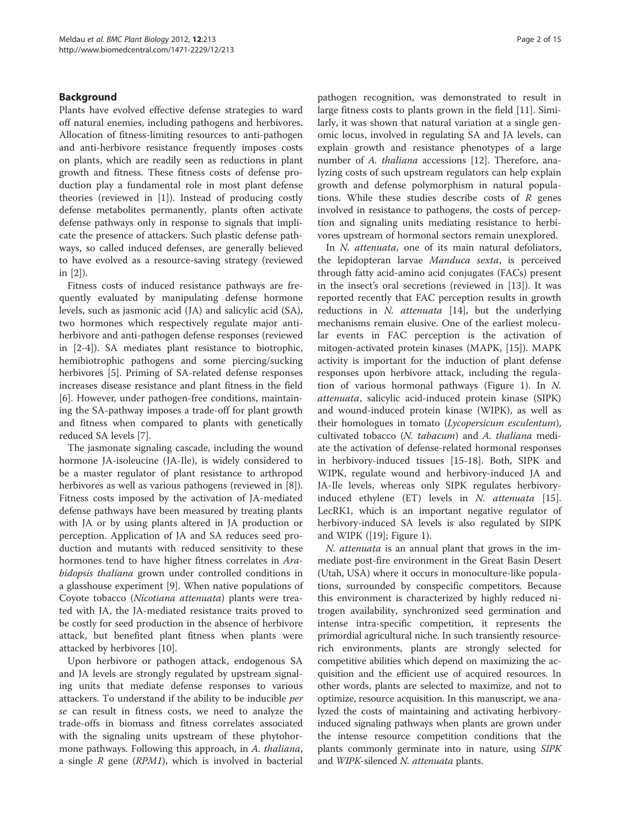#### Background

Plants have evolved effective defense strategies to ward off natural enemies, including pathogens and herbivores. Allocation of fitness-limiting resources to anti-pathogen and anti-herbivore resistance frequently imposes costs on plants, which are readily seen as reductions in plant growth and fitness. These fitness costs of defense production play a fundamental role in most plant defense theories (reviewed in [\[1](#page-13-0)]). Instead of producing costly defense metabolites permanently, plants often activate defense pathways only in response to signals that implicate the presence of attackers. Such plastic defense pathways, so called induced defenses, are generally believed to have evolved as a resource-saving strategy (reviewed in [[2\]](#page-13-0)).

Fitness costs of induced resistance pathways are frequently evaluated by manipulating defense hormone levels, such as jasmonic acid (JA) and salicylic acid (SA), two hormones which respectively regulate major antiherbivore and anti-pathogen defense responses (reviewed in [\[2](#page-13-0)-[4\]](#page-13-0)). SA mediates plant resistance to biotrophic, hemibiotrophic pathogens and some piercing/sucking herbivores [\[5](#page-13-0)]. Priming of SA-related defense responses increases disease resistance and plant fitness in the field [[6\]](#page-13-0). However, under pathogen-free conditions, maintaining the SA-pathway imposes a trade-off for plant growth and fitness when compared to plants with genetically reduced SA levels [[7\]](#page-13-0).

The jasmonate signaling cascade, including the wound hormone JA-isoleucine (JA-Ile), is widely considered to be a master regulator of plant resistance to arthropod herbivores as well as various pathogens (reviewed in [\[8](#page-13-0)]). Fitness costs imposed by the activation of JA-mediated defense pathways have been measured by treating plants with JA or by using plants altered in JA production or perception. Application of JA and SA reduces seed production and mutants with reduced sensitivity to these hormones tend to have higher fitness correlates in Arabidopsis thaliana grown under controlled conditions in a glasshouse experiment [[9\]](#page-13-0). When native populations of Coyote tobacco (Nicotiana attenuata) plants were treated with JA, the JA-mediated resistance traits proved to be costly for seed production in the absence of herbivore attack, but benefited plant fitness when plants were attacked by herbivores [[10\]](#page-13-0).

Upon herbivore or pathogen attack, endogenous SA and JA levels are strongly regulated by upstream signaling units that mediate defense responses to various attackers. To understand if the ability to be inducible per se can result in fitness costs, we need to analyze the trade-offs in biomass and fitness correlates associated with the signaling units upstream of these phytohormone pathways. Following this approach, in A. thaliana, a single  $R$  gene ( $RPM1$ ), which is involved in bacterial

pathogen recognition, was demonstrated to result in large fitness costs to plants grown in the field [[11](#page-13-0)]. Similarly, it was shown that natural variation at a single genomic locus, involved in regulating SA and JA levels, can explain growth and resistance phenotypes of a large number of A. thaliana accessions [[12\]](#page-13-0). Therefore, analyzing costs of such upstream regulators can help explain growth and defense polymorphism in natural populations. While these studies describe costs of  $R$  genes involved in resistance to pathogens, the costs of perception and signaling units mediating resistance to herbivores upstream of hormonal sectors remain unexplored.

In *N. attenuata*, one of its main natural defoliators, the lepidopteran larvae Manduca sexta, is perceived through fatty acid-amino acid conjugates (FACs) present in the insect's oral secretions (reviewed in [\[13](#page-13-0)]). It was reported recently that FAC perception results in growth reductions in  $N$ . attenuata [\[14\]](#page-13-0), but the underlying mechanisms remain elusive. One of the earliest molecular events in FAC perception is the activation of mitogen-activated protein kinases (MAPK, [\[15](#page-13-0)]). MAPK activity is important for the induction of plant defense responses upon herbivore attack, including the regulation of various hormonal pathways (Figure [1\)](#page-2-0). In N. attenuata, salicylic acid-induced protein kinase (SIPK) and wound-induced protein kinase (WIPK), as well as their homologues in tomato (Lycopersicum esculentum), cultivated tobacco (N. tabacum) and A. thaliana mediate the activation of defense-related hormonal responses in herbivory-induced tissues [\[15](#page-13-0)-[18\]](#page-13-0). Both, SIPK and WIPK, regulate wound and herbivory-induced JA and JA-Ile levels, whereas only SIPK regulates herbivory-induced ethylene (ET) levels in N. attenuata [\[15](#page-13-0)]. LecRK1, which is an important negative regulator of herbivory-induced SA levels is also regulated by SIPK and WIPK ([\[19](#page-13-0)]; Figure [1\)](#page-2-0).

N. attenuata is an annual plant that grows in the immediate post-fire environment in the Great Basin Desert (Utah, USA) where it occurs in monoculture-like populations, surrounded by conspecific competitors. Because this environment is characterized by highly reduced nitrogen availability, synchronized seed germination and intense intra-specific competition, it represents the primordial agricultural niche. In such transiently resourcerich environments, plants are strongly selected for competitive abilities which depend on maximizing the acquisition and the efficient use of acquired resources. In other words, plants are selected to maximize, and not to optimize, resource acquisition. In this manuscript, we analyzed the costs of maintaining and activating herbivoryinduced signaling pathways when plants are grown under the intense resource competition conditions that the plants commonly germinate into in nature, using SIPK and WIPK-silenced N. attenuata plants.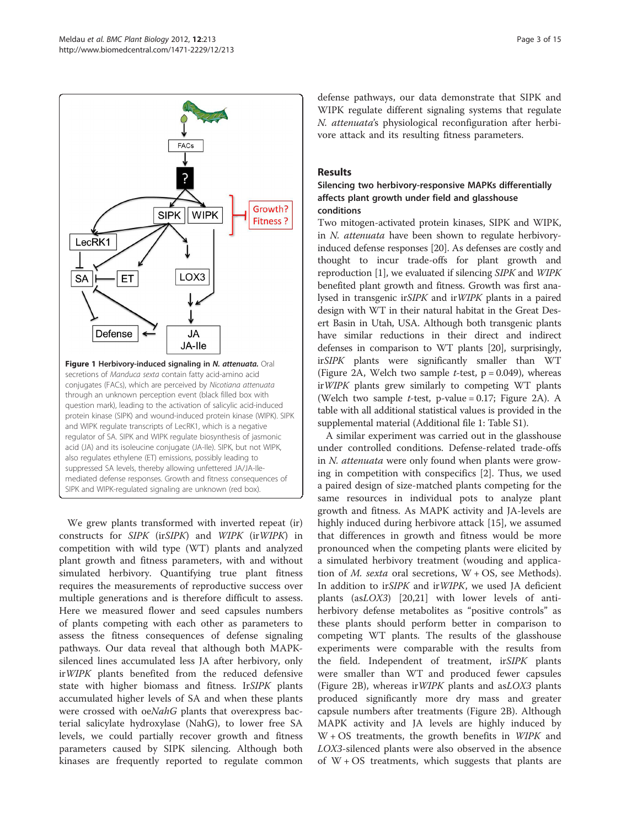<span id="page-2-0"></span>

We grew plants transformed with inverted repeat (ir) constructs for SIPK (irSIPK) and WIPK (irWIPK) in competition with wild type (WT) plants and analyzed plant growth and fitness parameters, with and without simulated herbivory. Quantifying true plant fitness requires the measurements of reproductive success over multiple generations and is therefore difficult to assess. Here we measured flower and seed capsules numbers of plants competing with each other as parameters to assess the fitness consequences of defense signaling pathways. Our data reveal that although both MAPKsilenced lines accumulated less JA after herbivory, only irWIPK plants benefited from the reduced defensive state with higher biomass and fitness. IrSIPK plants accumulated higher levels of SA and when these plants were crossed with oeNahG plants that overexpress bacterial salicylate hydroxylase (NahG), to lower free SA levels, we could partially recover growth and fitness parameters caused by SIPK silencing. Although both kinases are frequently reported to regulate common

defense pathways, our data demonstrate that SIPK and WIPK regulate different signaling systems that regulate N. attenuata's physiological reconfiguration after herbivore attack and its resulting fitness parameters.

## Results

## Silencing two herbivory-responsive MAPKs differentially affects plant growth under field and glasshouse conditions

Two mitogen-activated protein kinases, SIPK and WIPK, in N. attenuata have been shown to regulate herbivoryinduced defense responses [\[20\]](#page-13-0). As defenses are costly and thought to incur trade-offs for plant growth and reproduction [[1](#page-13-0)], we evaluated if silencing SIPK and WIPK benefited plant growth and fitness. Growth was first analysed in transgenic irSIPK and irWIPK plants in a paired design with WT in their natural habitat in the Great Desert Basin in Utah, USA. Although both transgenic plants have similar reductions in their direct and indirect defenses in comparison to WT plants [[20](#page-13-0)], surprisingly, irSIPK plants were significantly smaller than WT (Figure [2A](#page-3-0), Welch two sample *t*-test,  $p = 0.049$ ), whereas irWIPK plants grew similarly to competing WT plants (Welch two sample *t*-test, p-value = 0.17; Figure [2](#page-3-0)A). A table with all additional statistical values is provided in the supplemental material (Additional file [1](#page-12-0): Table S1).

A similar experiment was carried out in the glasshouse under controlled conditions. Defense-related trade-offs in N. attenuata were only found when plants were growing in competition with conspecifics [[2\]](#page-13-0). Thus, we used a paired design of size-matched plants competing for the same resources in individual pots to analyze plant growth and fitness. As MAPK activity and JA-levels are highly induced during herbivore attack [[15\]](#page-13-0), we assumed that differences in growth and fitness would be more pronounced when the competing plants were elicited by a simulated herbivory treatment (wouding and application of *M. sexta* oral secretions,  $W + OS$ , see [Methods](#page-10-0)). In addition to irSIPK and irWIPK, we used JA deficient plants (asLOX3) [[20,21\]](#page-13-0) with lower levels of antiherbivory defense metabolites as "positive controls" as these plants should perform better in comparison to competing WT plants. The results of the glasshouse experiments were comparable with the results from the field. Independent of treatment, irSIPK plants were smaller than WT and produced fewer capsules (Figure [2B](#page-3-0)), whereas irWIPK plants and asLOX3 plants produced significantly more dry mass and greater capsule numbers after treatments (Figure [2](#page-3-0)B). Although MAPK activity and JA levels are highly induced by  $W + OS$  treatments, the growth benefits in *WIPK* and LOX3-silenced plants were also observed in the absence of  $W + OS$  treatments, which suggests that plants are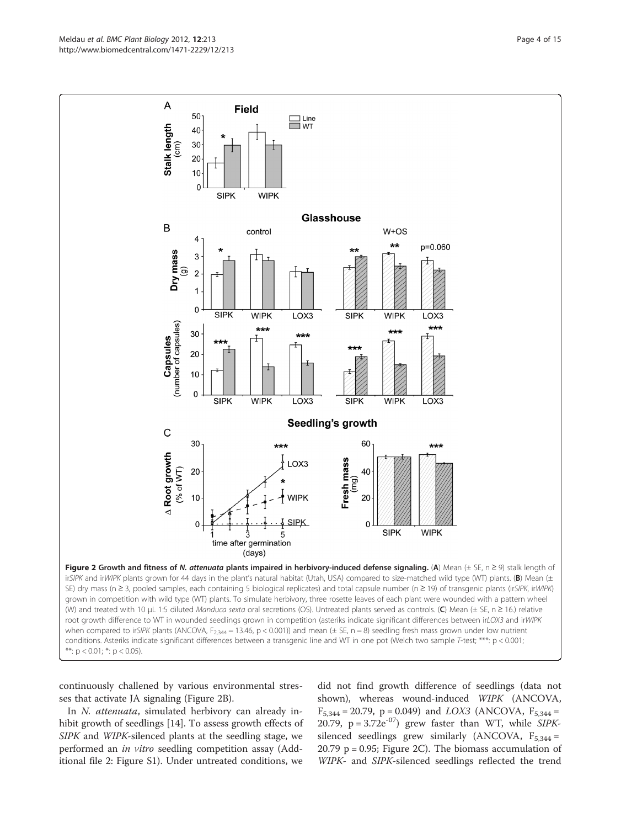continuously challened by various environmental stresses that activate JA signaling (Figure 2B).

In *N. attenuata*, simulated herbivory can already inhibit growth of seedlings [\[14\]](#page-13-0). To assess growth effects of SIPK and WIPK-silenced plants at the seedling stage, we performed an in vitro seedling competition assay (Additional file [2](#page-12-0): Figure S1). Under untreated conditions, we

did not find growth difference of seedlings (data not shown), whereas wound-induced WIPK (ANCOVA,  $F_{5,344} = 20.79$ , p = 0.049) and *LOX3* (ANCOVA,  $F_{5,344} =$ 20.79,  $p = 3.72e^{-07}$ ) grew faster than WT, while SIPKsilenced seedlings grew similarly (ANCOVA,  $F_{5,344} =$ 20.79  $p = 0.95$ ; Figure 2C). The biomass accumulation of WIPK- and SIPK-silenced seedlings reflected the trend

<span id="page-3-0"></span>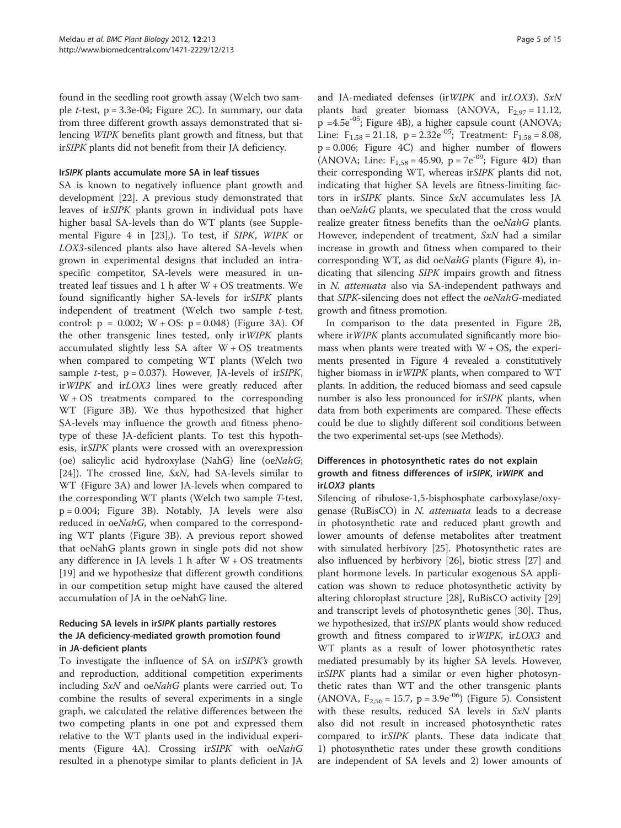found in the seedling root growth assay (Welch two sample  $t$ -test,  $p = 3.3e-04$ ; Figure [2C](#page-3-0)). In summary, our data from three different growth assays demonstrated that silencing WIPK benefits plant growth and fitness, but that irSIPK plants did not benefit from their JA deficiency.

#### IrSIPK plants accumulate more SA in leaf tissues

SA is known to negatively influence plant growth and development [\[22\]](#page-13-0). A previous study demonstrated that leaves of irSIPK plants grown in individual pots have higher basal SA-levels than do WT plants (see Supplemental Figure 4 in [\[23](#page-13-0)],). To test, if SIPK, WIPK or LOX3-silenced plants also have altered SA-levels when grown in experimental designs that included an intraspecific competitor, SA-levels were measured in untreated leaf tissues and 1 h after W + OS treatments. We found significantly higher SA-levels for irSIPK plants independent of treatment (Welch two sample  $t$ -test, control:  $p = 0.002$ ;  $W + OS$ :  $p = 0.048$ ) (Figure [3](#page-5-0)A). Of the other transgenic lines tested, only irWIPK plants accumulated slightly less SA after  $W + OS$  treatments when compared to competing WT plants (Welch two sample *t*-test,  $p = 0.037$ ). However, JA-levels of irSIPK, irWIPK and irLOX3 lines were greatly reduced after W + OS treatments compared to the corresponding WT (Figure [3B](#page-5-0)). We thus hypothesized that higher SA-levels may influence the growth and fitness phenotype of these JA-deficient plants. To test this hypothesis, irSIPK plants were crossed with an overexpression (oe) salicylic acid hydroxylase (NahG) line (oeNahG; [[24\]](#page-13-0)). The crossed line,  $S x N$ , had SA-levels similar to WT (Figure [3A](#page-5-0)) and lower JA-levels when compared to the corresponding WT plants (Welch two sample T-test, p = 0.004; Figure [3B](#page-5-0)). Notably, JA levels were also reduced in oeNahG, when compared to the corresponding WT plants (Figure [3](#page-5-0)B). A previous report showed that oeNahG plants grown in single pots did not show any difference in JA levels 1 h after  $W + OS$  treatments [[19\]](#page-13-0) and we hypothesize that different growth conditions in our competition setup might have caused the altered accumulation of JA in the oeNahG line.

## Reducing SA levels in irSIPK plants partially restores the JA deficiency-mediated growth promotion found in JA-deficient plants

To investigate the influence of SA on irSIPK's growth and reproduction, additional competition experiments including SxN and oeNahG plants were carried out. To combine the results of several experiments in a single graph, we calculated the relative differences between the two competing plants in one pot and expressed them relative to the WT plants used in the individual experi-ments (Figure [4A](#page-7-0)). Crossing irSIPK with oeNahG resulted in a phenotype similar to plants deficient in JA

and JA-mediated defenses (irWIPK and irLOX3). SxN plants had greater biomass (ANOVA,  $F_{2,97} = 11.12$ ,  $p = 4.5e^{-0.5}$  $p = 4.5e^{-0.5}$  $p = 4.5e^{-0.5}$ ; Figure 4B), a higher capsule count (ANOVA; Line:  $F_{1,58} = 21.18$ ,  $p = 2.32e^{-0.5}$ ; Treatment:  $F_{1,58} = 8.08$ ,  $p = 0.006$ ; Figure [4C](#page-7-0)) and higher number of flowers (ANOVA; Line:  $F_{1,58} = 45.90$ ,  $p = 7e^{-0.9}$ ; Figure [4D](#page-7-0)) than their corresponding WT, whereas irSIPK plants did not, indicating that higher SA levels are fitness-limiting factors in irSIPK plants. Since SxN accumulates less JA than oeNahG plants, we speculated that the cross would realize greater fitness benefits than the oeNahG plants. However, independent of treatment, SxN had a similar increase in growth and fitness when compared to their corresponding WT, as did oeNahG plants (Figure [4](#page-7-0)), indicating that silencing SIPK impairs growth and fitness in N. attenuata also via SA-independent pathways and that SIPK-silencing does not effect the oeNahG-mediated growth and fitness promotion.

In comparison to the data presented in Figure [2B](#page-3-0), where ir WIPK plants accumulated significantly more biomass when plants were treated with  $W + OS$ , the experiments presented in Figure [4](#page-7-0) revealed a constitutively higher biomass in irWIPK plants, when compared to WT plants. In addition, the reduced biomass and seed capsule number is also less pronounced for irSIPK plants, when data from both experiments are compared. These effects could be due to slightly different soil conditions between the two experimental set-ups (see [Methods\)](#page-10-0).

## Differences in photosynthetic rates do not explain growth and fitness differences of irSIPK, irWIPK and irLOX3 plants

Silencing of ribulose-1,5-bisphosphate carboxylase/oxygenase (RuBisCO) in N. attenuata leads to a decrease in photosynthetic rate and reduced plant growth and lower amounts of defense metabolites after treatment with simulated herbivory [\[25](#page-13-0)]. Photosynthetic rates are also influenced by herbivory [[26](#page-13-0)], biotic stress [[27](#page-13-0)] and plant hormone levels. In particular exogenous SA application was shown to reduce photosynthetic activity by altering chloroplast structure [[28\]](#page-13-0), RuBisCO activity [[29](#page-13-0)] and transcript levels of photosynthetic genes [[30\]](#page-13-0). Thus, we hypothesized, that irSIPK plants would show reduced growth and fitness compared to irWIPK, irLOX3 and WT plants as a result of lower photosynthetic rates mediated presumably by its higher SA levels. However, irSIPK plants had a similar or even higher photosynthetic rates than WT and the other transgenic plants (ANOVA,  $F_{2,56} = 15.7$ ,  $p = 3.9e^{-06}$ ) (Figure [5\)](#page-7-0). Consistent with these results, reduced SA levels in  $S x N$  plants also did not result in increased photosynthetic rates compared to irSIPK plants. These data indicate that 1) photosynthetic rates under these growth conditions are independent of SA levels and 2) lower amounts of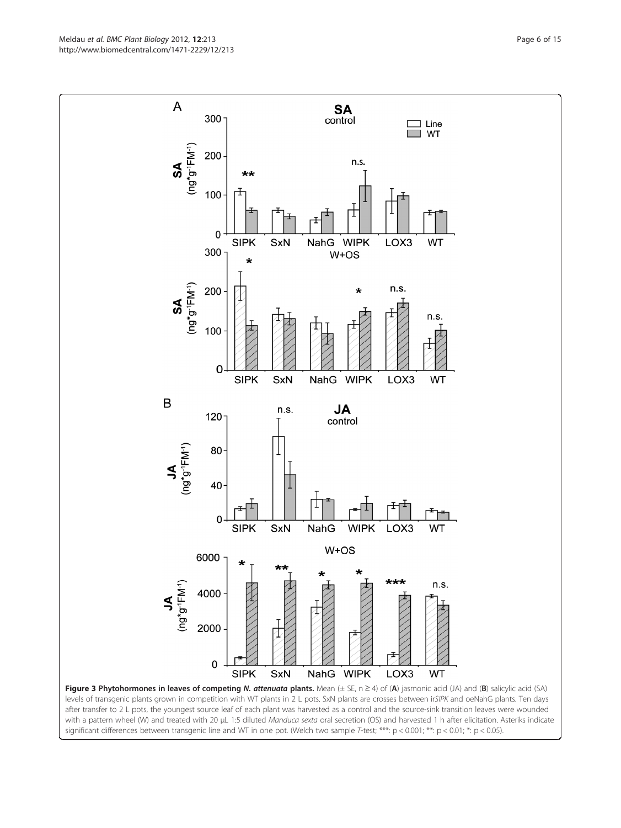<span id="page-5-0"></span>Meldau et al. BMC Plant Biology 2012, 12:213 Page 6 of 15 http://www.biomedcentral.com/1471-2229/12/213



with a pattern wheel (W) and treated with 20 μL 1:5 diluted Manduca sexta oral secretion (OS) and harvested 1 h after elicitation. Asteriks indicate significant differences between transgenic line and WT in one pot. (Welch two sample T-test; \*\*\*: p < 0.001; \*\*: p < 0.01; \*: p < 0.05).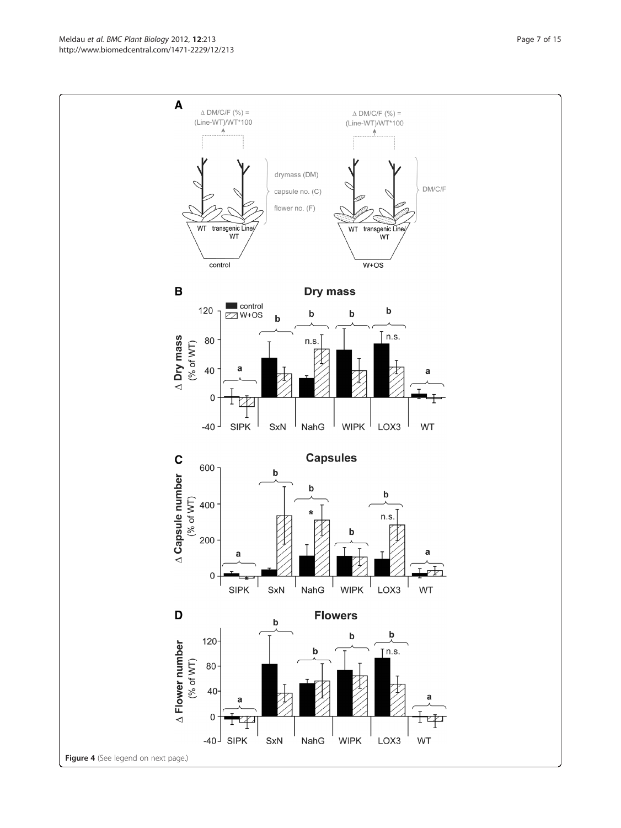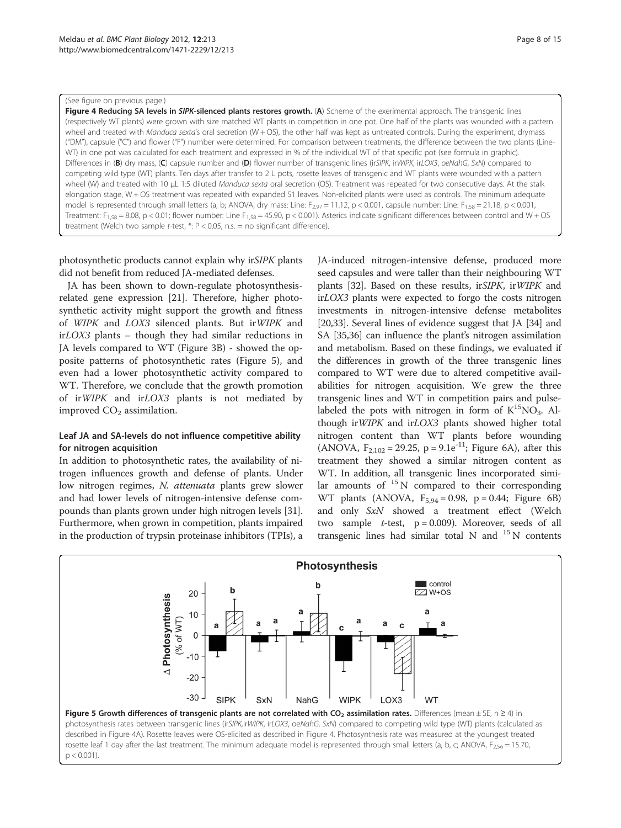#### <span id="page-7-0"></span>(See figure on previous page.)

Figure 4 Reducing SA levels in SIPK-silenced plants restores growth. (A) Scheme of the exerimental approach. The transgenic lines (respectively WT plants) were grown with size matched WT plants in competition in one pot. One half of the plants was wounded with a pattern wheel and treated with Manduca sexta's oral secretion (W + OS), the other half was kept as untreated controls. During the experiment, drymass ("DM"), capsule ("C") and flower ("F") number were determined. For comparison between treatments, the difference between the two plants (Line-WT) in one pot was calculated for each treatment and expressed in % of the individual WT of that specific pot (see formula in graphic). Differences in (B) dry mass, (C) capsule number and (D) flower number of transgenic lines (irSJPK, irWIPK, irLOX3, oeNahG, SxN) compared to competing wild type (WT) plants. Ten days after transfer to 2 L pots, rosette leaves of transgenic and WT plants were wounded with a pattern wheel (W) and treated with 10 μL 1:5 diluted Manduca sexta oral secretion (OS). Treatment was repeated for two consecutive days. At the stalk elongation stage, W + OS treatment was repeated with expanded S1 leaves. Non-elicited plants were used as controls. The minimum adequate model is represented through small letters (a, b; ANOVA, dry mass: Line: F<sub>2.97</sub> = 11.12, p < 0.001, capsule number: Line: F<sub>1.58</sub> = 21.18, p < 0.001, Treatment:  $F_{1,58} = 8.08$ , p < 0.01; flower number: Line  $F_{1,58} = 45.90$ , p < 0.001). Asterics indicate significant differences between control and W + OS treatment (Welch two sample *t*-test,  $*$ :  $P$  < 0.05, n.s. = no significant difference).

photosynthetic products cannot explain why irSIPK plants did not benefit from reduced JA-mediated defenses.

JA has been shown to down-regulate photosynthesisrelated gene expression [[21](#page-13-0)]. Therefore, higher photosynthetic activity might support the growth and fitness of WIPK and LOX3 silenced plants. But irWIPK and irLOX3 plants – though they had similar reductions in JA levels compared to WT (Figure [3B](#page-5-0)) - showed the opposite patterns of photosynthetic rates (Figure 5), and even had a lower photosynthetic activity compared to WT. Therefore, we conclude that the growth promotion of irWIPK and irLOX3 plants is not mediated by improved  $CO<sub>2</sub>$  assimilation.

## Leaf JA and SA-levels do not influence competitive ability for nitrogen acquisition

In addition to photosynthetic rates, the availability of nitrogen influences growth and defense of plants. Under low nitrogen regimes, N. attenuata plants grew slower and had lower levels of nitrogen-intensive defense compounds than plants grown under high nitrogen levels [[31](#page-13-0)]. Furthermore, when grown in competition, plants impaired in the production of trypsin proteinase inhibitors (TPIs), a JA-induced nitrogen-intensive defense, produced more seed capsules and were taller than their neighbouring WT plants [\[32](#page-13-0)]. Based on these results, irSIPK, irWIPK and irLOX3 plants were expected to forgo the costs nitrogen investments in nitrogen-intensive defense metabolites [[20](#page-13-0),[33](#page-13-0)]. Several lines of evidence suggest that JA [[34](#page-13-0)] and SA [\[35,36](#page-13-0)] can influence the plant's nitrogen assimilation and metabolism. Based on these findings, we evaluated if the differences in growth of the three transgenic lines compared to WT were due to altered competitive availabilities for nitrogen acquisition. We grew the three transgenic lines and WT in competition pairs and pulselabeled the pots with nitrogen in form of  $K^{15}NO_3$ . Although irWIPK and irLOX3 plants showed higher total nitrogen content than WT plants before wounding (ANOVA,  $F_{2,102} = 29.25$ , p = 9.1e<sup>-11</sup>; Figure [6](#page-9-0)A), after this treatment they showed a similar nitrogen content as WT. In addition, all transgenic lines incorporated similar amounts of  $15 N$  compared to their corresponding WT plants (ANOVA,  $F_{5,94} = 0.98$ , p = 0.44; Figure [6B](#page-9-0)) and only SxN showed a treatment effect (Welch two sample  $t$ -test,  $p = 0.009$ ). Moreover, seeds of all transgenic lines had similar total N and  $^{15}$  N contents

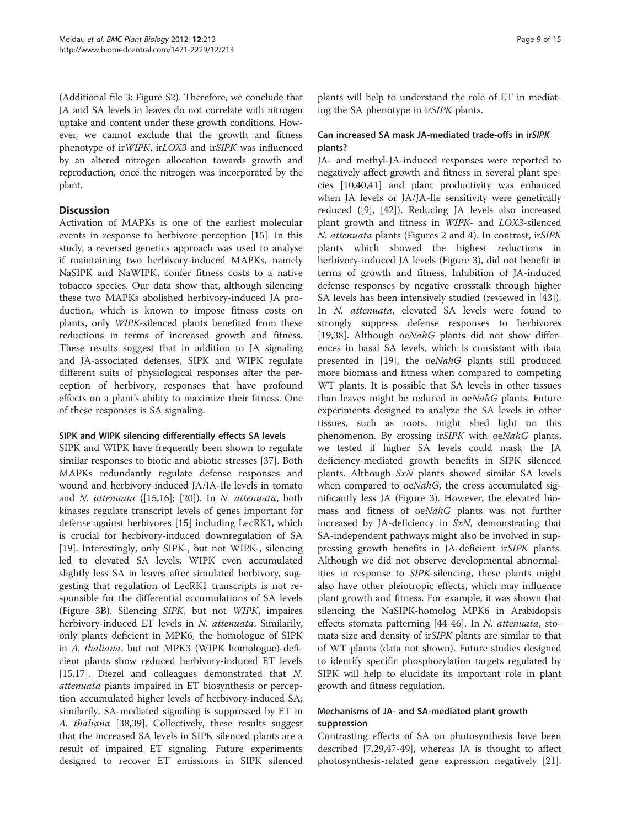(Additional file [3](#page-12-0): Figure S2). Therefore, we conclude that JA and SA levels in leaves do not correlate with nitrogen uptake and content under these growth conditions. However, we cannot exclude that the growth and fitness phenotype of irWIPK, irLOX3 and irSIPK was influenced by an altered nitrogen allocation towards growth and reproduction, once the nitrogen was incorporated by the plant.

## **Discussion**

Activation of MAPKs is one of the earliest molecular events in response to herbivore perception [[15\]](#page-13-0). In this study, a reversed genetics approach was used to analyse if maintaining two herbivory-induced MAPKs, namely NaSIPK and NaWIPK, confer fitness costs to a native tobacco species. Our data show that, although silencing these two MAPKs abolished herbivory-induced JA production, which is known to impose fitness costs on plants, only WIPK-silenced plants benefited from these reductions in terms of increased growth and fitness. These results suggest that in addition to JA signaling and JA-associated defenses, SIPK and WIPK regulate different suits of physiological responses after the perception of herbivory, responses that have profound effects on a plant's ability to maximize their fitness. One of these responses is SA signaling.

#### SIPK and WIPK silencing differentially effects SA levels

SIPK and WIPK have frequently been shown to regulate similar responses to biotic and abiotic stresses [[37\]](#page-14-0). Both MAPKs redundantly regulate defense responses and wound and herbivory-induced JA/JA-Ile levels in tomato and *N. attenuata* ([[15,16](#page-13-0)]; [\[20](#page-13-0)]). In *N. attenuata*, both kinases regulate transcript levels of genes important for defense against herbivores [\[15\]](#page-13-0) including LecRK1, which is crucial for herbivory-induced downregulation of SA [[19\]](#page-13-0). Interestingly, only SIPK-, but not WIPK-, silencing led to elevated SA levels; WIPK even accumulated slightly less SA in leaves after simulated herbivory, suggesting that regulation of LecRK1 transcripts is not responsible for the differential accumulations of SA levels (Figure [3](#page-5-0)B). Silencing SIPK, but not WIPK, impaires herbivory-induced ET levels in N. attenuata. Similarily, only plants deficient in MPK6, the homologue of SIPK in A. thaliana, but not MPK3 (WIPK homologue)-deficient plants show reduced herbivory-induced ET levels [[15,17\]](#page-13-0). Diezel and colleagues demonstrated that N. attenuata plants impaired in ET biosynthesis or perception accumulated higher levels of herbivory-induced SA; similarily, SA-mediated signaling is suppressed by ET in A. thaliana [\[38,39](#page-14-0)]. Collectively, these results suggest that the increased SA levels in SIPK silenced plants are a result of impaired ET signaling. Future experiments designed to recover ET emissions in SIPK silenced plants will help to understand the role of ET in mediating the SA phenotype in irSIPK plants.

## Can increased SA mask JA-mediated trade-offs in irSIPK plants?

JA- and methyl-JA-induced responses were reported to negatively affect growth and fitness in several plant species [[10](#page-13-0),[40](#page-14-0),[41](#page-14-0)] and plant productivity was enhanced when JA levels or JA/JA-Ile sensitivity were genetically reduced ([\[9](#page-13-0)], [\[42\]](#page-14-0)). Reducing JA levels also increased plant growth and fitness in WIPK- and LOX3-silenced N. attenuata plants (Figures [2](#page-3-0) and [4](#page-7-0)). In contrast, irSIPK plants which showed the highest reductions in herbivory-induced JA levels (Figure [3](#page-5-0)), did not benefit in terms of growth and fitness. Inhibition of JA-induced defense responses by negative crosstalk through higher SA levels has been intensively studied (reviewed in [\[43](#page-14-0)]). In N. attenuata, elevated SA levels were found to strongly suppress defense responses to herbivores [[19,](#page-13-0)[38\]](#page-14-0). Although oeNahG plants did not show differences in basal SA levels, which is consistant with data presented in [[19\]](#page-13-0), the oeNahG plants still produced more biomass and fitness when compared to competing WT plants. It is possible that SA levels in other tissues than leaves might be reduced in oeNahG plants. Future experiments designed to analyze the SA levels in other tissues, such as roots, might shed light on this phenomenon. By crossing irSIPK with oeNahG plants, we tested if higher SA levels could mask the JA deficiency-mediated growth benefits in SIPK silenced plants. Although SxN plants showed similar SA levels when compared to oeNahG, the cross accumulated significantly less JA (Figure [3\)](#page-5-0). However, the elevated biomass and fitness of oeNahG plants was not further increased by JA-deficiency in SxN, demonstrating that SA-independent pathways might also be involved in suppressing growth benefits in JA-deficient irSIPK plants. Although we did not observe developmental abnormalities in response to SIPK-silencing, these plants might also have other pleiotropic effects, which may influence plant growth and fitness. For example, it was shown that silencing the NaSIPK-homolog MPK6 in Arabidopsis effects stomata patterning [\[44](#page-14-0)-[46](#page-14-0)]. In *N. attenuata*, stomata size and density of irSIPK plants are similar to that of WT plants (data not shown). Future studies designed to identify specific phosphorylation targets regulated by SIPK will help to elucidate its important role in plant growth and fitness regulation.

## Mechanisms of JA- and SA-mediated plant growth suppression

Contrasting effects of SA on photosynthesis have been described [\[7,29](#page-13-0)[,47](#page-14-0)-[49\]](#page-14-0), whereas JA is thought to affect photosynthesis-related gene expression negatively [\[21](#page-13-0)].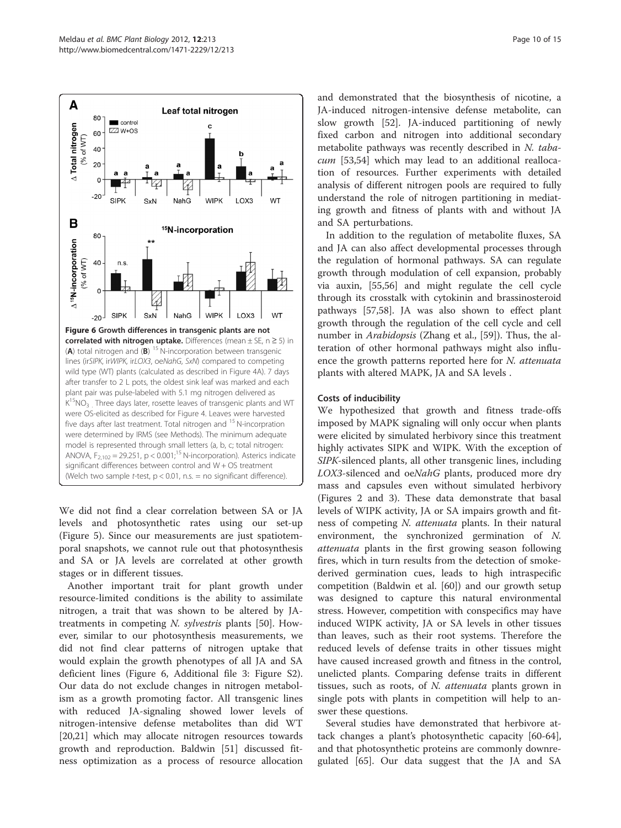<span id="page-9-0"></span>

We did not find a clear correlation between SA or JA levels and photosynthetic rates using our set-up (Figure [5\)](#page-7-0). Since our measurements are just spatiotemporal snapshots, we cannot rule out that photosynthesis and SA or JA levels are correlated at other growth stages or in different tissues.

Another important trait for plant growth under resource-limited conditions is the ability to assimilate nitrogen, a trait that was shown to be altered by JAtreatments in competing N. sylvestris plants [\[50](#page-14-0)]. However, similar to our photosynthesis measurements, we did not find clear patterns of nitrogen uptake that would explain the growth phenotypes of all JA and SA deficient lines (Figure 6, Additional file [3](#page-12-0): Figure S2). Our data do not exclude changes in nitrogen metabolism as a growth promoting factor. All transgenic lines with reduced JA-signaling showed lower levels of nitrogen-intensive defense metabolites than did WT [[20,21\]](#page-13-0) which may allocate nitrogen resources towards growth and reproduction. Baldwin [\[51](#page-14-0)] discussed fitness optimization as a process of resource allocation

and demonstrated that the biosynthesis of nicotine, a JA-induced nitrogen-intensive defense metabolite, can slow growth [\[52](#page-14-0)]. JA-induced partitioning of newly fixed carbon and nitrogen into additional secondary metabolite pathways was recently described in N. tabacum [[53,54\]](#page-14-0) which may lead to an additional reallocation of resources. Further experiments with detailed analysis of different nitrogen pools are required to fully understand the role of nitrogen partitioning in mediating growth and fitness of plants with and without JA and SA perturbations.

In addition to the regulation of metabolite fluxes, SA and JA can also affect developmental processes through the regulation of hormonal pathways. SA can regulate growth through modulation of cell expansion, probably via auxin, [[55,56\]](#page-14-0) and might regulate the cell cycle through its crosstalk with cytokinin and brassinosteroid pathways [\[57,58](#page-14-0)]. JA was also shown to effect plant growth through the regulation of the cell cycle and cell number in *Arabidopsis* (Zhang et al., [[59\]](#page-14-0)). Thus, the alteration of other hormonal pathways might also influence the growth patterns reported here for N. attenuata plants with altered MAPK, JA and SA levels .

#### Costs of inducibility

We hypothesized that growth and fitness trade-offs imposed by MAPK signaling will only occur when plants were elicited by simulated herbivory since this treatment highly activates SIPK and WIPK. With the exception of SIPK-silenced plants, all other transgenic lines, including LOX3-silenced and oeNahG plants, produced more dry mass and capsules even without simulated herbivory (Figures [2](#page-3-0) and [3](#page-5-0)). These data demonstrate that basal levels of WIPK activity, JA or SA impairs growth and fitness of competing N. attenuata plants. In their natural environment, the synchronized germination of N. attenuata plants in the first growing season following fires, which in turn results from the detection of smokederived germination cues, leads to high intraspecific competition (Baldwin et al. [\[60](#page-14-0)]) and our growth setup was designed to capture this natural environmental stress. However, competition with conspecifics may have induced WIPK activity, JA or SA levels in other tissues than leaves, such as their root systems. Therefore the reduced levels of defense traits in other tissues might have caused increased growth and fitness in the control, unelicted plants. Comparing defense traits in different tissues, such as roots, of N. *attenuata* plants grown in single pots with plants in competition will help to answer these questions.

Several studies have demonstrated that herbivore attack changes a plant's photosynthetic capacity [\[60-64](#page-14-0)], and that photosynthetic proteins are commonly downregulated [[65\]](#page-14-0). Our data suggest that the JA and SA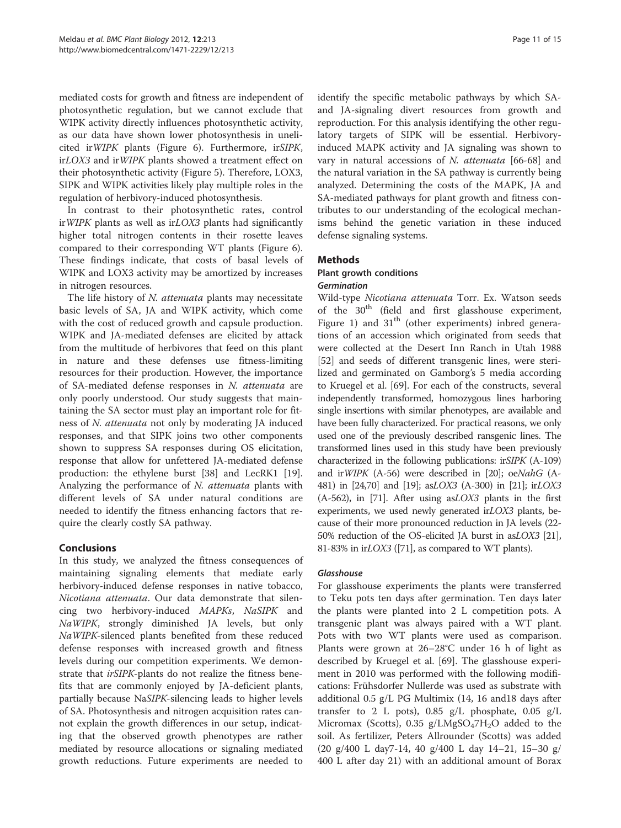<span id="page-10-0"></span>mediated costs for growth and fitness are independent of photosynthetic regulation, but we cannot exclude that WIPK activity directly influences photosynthetic activity, as our data have shown lower photosynthesis in unelicited irWIPK plants (Figure [6](#page-9-0)). Furthermore, irSIPK, irLOX3 and irWIPK plants showed a treatment effect on their photosynthetic activity (Figure [5](#page-7-0)). Therefore, LOX3, SIPK and WIPK activities likely play multiple roles in the regulation of herbivory-induced photosynthesis.

In contrast to their photosynthetic rates, control irWIPK plants as well as irLOX3 plants had significantly higher total nitrogen contents in their rosette leaves compared to their corresponding WT plants (Figure [6](#page-9-0)). These findings indicate, that costs of basal levels of WIPK and LOX3 activity may be amortized by increases in nitrogen resources.

The life history of N. attenuata plants may necessitate basic levels of SA, JA and WIPK activity, which come with the cost of reduced growth and capsule production. WIPK and JA-mediated defenses are elicited by attack from the multitude of herbivores that feed on this plant in nature and these defenses use fitness-limiting resources for their production. However, the importance of SA-mediated defense responses in N. attenuata are only poorly understood. Our study suggests that maintaining the SA sector must play an important role for fitness of N. attenuata not only by moderating JA induced responses, and that SIPK joins two other components shown to suppress SA responses during OS elicitation, response that allow for unfettered JA-mediated defense production: the ethylene burst [\[38](#page-14-0)] and LecRK1 [\[19](#page-13-0)]. Analyzing the performance of N. attenuata plants with different levels of SA under natural conditions are needed to identify the fitness enhancing factors that require the clearly costly SA pathway.

#### Conclusions

In this study, we analyzed the fitness consequences of maintaining signaling elements that mediate early herbivory-induced defense responses in native tobacco, Nicotiana attenuata. Our data demonstrate that silencing two herbivory-induced MAPKs, NaSIPK and NaWIPK, strongly diminished JA levels, but only NaWIPK-silenced plants benefited from these reduced defense responses with increased growth and fitness levels during our competition experiments. We demonstrate that irSIPK-plants do not realize the fitness benefits that are commonly enjoyed by JA-deficient plants, partially because NaSIPK-silencing leads to higher levels of SA. Photosynthesis and nitrogen acquisition rates cannot explain the growth differences in our setup, indicating that the observed growth phenotypes are rather mediated by resource allocations or signaling mediated growth reductions. Future experiments are needed to

identify the specific metabolic pathways by which SAand JA-signaling divert resources from growth and reproduction. For this analysis identifying the other regulatory targets of SIPK will be essential. Herbivoryinduced MAPK activity and JA signaling was shown to vary in natural accessions of N. attenuata [[66-68\]](#page-14-0) and the natural variation in the SA pathway is currently being analyzed. Determining the costs of the MAPK, JA and SA-mediated pathways for plant growth and fitness contributes to our understanding of the ecological mechanisms behind the genetic variation in these induced defense signaling systems.

#### **Methods**

#### Plant growth conditions Germination

Wild-type Nicotiana attenuata Torr. Ex. Watson seeds of the 30<sup>th</sup> (field and first glasshouse experiment, Figure [1](#page-2-0)) and  $31<sup>th</sup>$  (other experiments) inbred generations of an accession which originated from seeds that were collected at the Desert Inn Ranch in Utah 1988 [[52\]](#page-14-0) and seeds of different transgenic lines, were sterilized and germinated on Gamborg's 5 media according to Kruegel et al. [[69](#page-14-0)]. For each of the constructs, several independently transformed, homozygous lines harboring single insertions with similar phenotypes, are available and have been fully characterized. For practical reasons, we only used one of the previously described ransgenic lines. The transformed lines used in this study have been previously characterized in the following publications: irSIPK (A-109) and irWIPK  $(A-56)$  were described in [[20\]](#page-13-0); oeNahG  $(A-$ 481) in [\[24,](#page-13-0)[70](#page-14-0)] and [\[19\]](#page-13-0); asLOX3 (A-300) in [\[21\]](#page-13-0); irLOX3 (A-562), in [[71](#page-14-0)]. After using asLOX3 plants in the first experiments, we used newly generated irLOX3 plants, because of their more pronounced reduction in JA levels (22- 50% reduction of the OS-elicited JA burst in asLOX3 [\[21](#page-13-0)], 81-83% in irLOX3 ([\[71](#page-14-0)], as compared to WT plants).

#### Glasshouse

For glasshouse experiments the plants were transferred to Teku pots ten days after germination. Ten days later the plants were planted into 2 L competition pots. A transgenic plant was always paired with a WT plant. Pots with two WT plants were used as comparison. Plants were grown at 26–28°C under 16 h of light as described by Kruegel et al. [[69\]](#page-14-0). The glasshouse experiment in 2010 was performed with the following modifications: Frühsdorfer Nullerde was used as substrate with additional 0.5 g/L PG Multimix (14, 16 and18 days after transfer to 2 L pots),  $0.85$  g/L phosphate,  $0.05$  g/L Micromax (Scotts), 0.35  $g/LMgSO_47H_2O$  added to the soil. As fertilizer, Peters Allrounder (Scotts) was added (20 g/400 L day7-14, 40 g/400 L day 14–21, 15–30 g/ 400 L after day 21) with an additional amount of Borax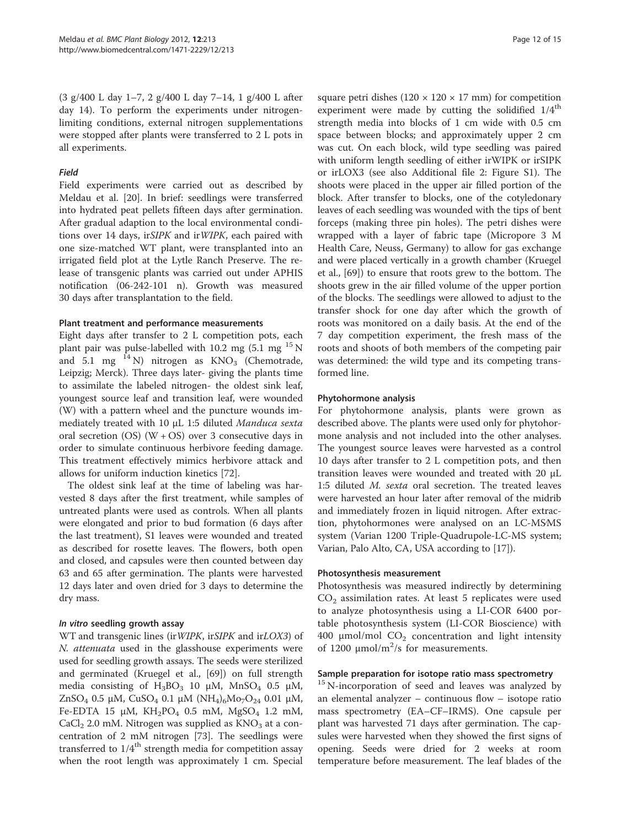(3 g/400 L day 1–7, 2 g/400 L day 7–14, 1 g/400 L after day 14). To perform the experiments under nitrogenlimiting conditions, external nitrogen supplementations were stopped after plants were transferred to 2 L pots in all experiments.

### Field

Field experiments were carried out as described by Meldau et al. [\[20](#page-13-0)]. In brief: seedlings were transferred into hydrated peat pellets fifteen days after germination. After gradual adaption to the local environmental conditions over 14 days, irSIPK and irWIPK, each paired with one size-matched WT plant, were transplanted into an irrigated field plot at the Lytle Ranch Preserve. The release of transgenic plants was carried out under APHIS notification (06-242-101 n). Growth was measured 30 days after transplantation to the field.

#### Plant treatment and performance measurements

Eight days after transfer to 2 L competition pots, each plant pair was pulse-labelled with 10.2 mg  $(5.1 \text{ mg}^{15} \text{N})$ and 5.1 mg  $^{14}$  N) nitrogen as  $KNO<sub>3</sub>$  (Chemotrade, Leipzig; Merck). Three days later- giving the plants time to assimilate the labeled nitrogen- the oldest sink leaf, youngest source leaf and transition leaf, were wounded (W) with a pattern wheel and the puncture wounds immediately treated with 10 μL 1:5 diluted Manduca sexta oral secretion  $OS$ ) (W + OS) over 3 consecutive days in order to simulate continuous herbivore feeding damage. This treatment effectively mimics herbivore attack and allows for uniform induction kinetics [[72\]](#page-14-0).

The oldest sink leaf at the time of labeling was harvested 8 days after the first treatment, while samples of untreated plants were used as controls. When all plants were elongated and prior to bud formation (6 days after the last treatment), S1 leaves were wounded and treated as described for rosette leaves. The flowers, both open and closed, and capsules were then counted between day 63 and 65 after germination. The plants were harvested 12 days later and oven dried for 3 days to determine the dry mass.

#### In vitro seedling growth assay

WT and transgenic lines (irWIPK, irSIPK and irLOX3) of N. attenuata used in the glasshouse experiments were used for seedling growth assays. The seeds were sterilized and germinated (Kruegel et al., [\[69\]](#page-14-0)) on full strength media consisting of  $H_3BO_3$  10 μM, MnSO<sub>4</sub> 0.5 μM, ZnSO<sub>4</sub> 0.5 μM, CuSO<sub>4</sub> 0.1 μM (NH<sub>4</sub>)<sub>6</sub>Mo<sub>7</sub>O<sub>24</sub> 0.01 μM, Fe-EDTA 15 μM,  $KH_2PO_4$  0.5 mM, MgSO<sub>4</sub> 1.2 mM,  $CaCl<sub>2</sub> 2.0$  mM. Nitrogen was supplied as  $KNO<sub>3</sub>$  at a concentration of 2 mM nitrogen [\[73](#page-14-0)]. The seedlings were transferred to  $1/4<sup>th</sup>$  strength media for competition assay when the root length was approximately 1 cm. Special

square petri dishes  $(120 \times 120 \times 17 \text{ mm})$  for competition experiment were made by cutting the solidified  $1/4$ <sup>th</sup> strength media into blocks of 1 cm wide with 0.5 cm space between blocks; and approximately upper 2 cm was cut. On each block, wild type seedling was paired with uniform length seedling of either irWIPK or irSIPK or irLOX3 (see also Additional file [2](#page-12-0): Figure S1). The shoots were placed in the upper air filled portion of the block. After transfer to blocks, one of the cotyledonary leaves of each seedling was wounded with the tips of bent forceps (making three pin holes). The petri dishes were wrapped with a layer of fabric tape (Micropore 3 M Health Care, Neuss, Germany) to allow for gas exchange and were placed vertically in a growth chamber (Kruegel et al., [[69\]](#page-14-0)) to ensure that roots grew to the bottom. The shoots grew in the air filled volume of the upper portion of the blocks. The seedlings were allowed to adjust to the transfer shock for one day after which the growth of roots was monitored on a daily basis. At the end of the 7 day competition experiment, the fresh mass of the roots and shoots of both members of the competing pair was determined: the wild type and its competing transformed line.

## Phytohormone analysis

For phytohormone analysis, plants were grown as described above. The plants were used only for phytohormone analysis and not included into the other analyses. The youngest source leaves were harvested as a control 10 days after transfer to 2 L competition pots, and then transition leaves were wounded and treated with 20 μL 1:5 diluted M. sexta oral secretion. The treated leaves were harvested an hour later after removal of the midrib and immediately frozen in liquid nitrogen. After extraction, phytohormones were analysed on an LC-MS⁄MS system (Varian 1200 Triple-Quadrupole-LC-MS system; Varian, Palo Alto, CA, USA according to [\[17](#page-13-0)]).

#### Photosynthesis measurement

Photosynthesis was measured indirectly by determining  $CO<sub>2</sub>$  assimilation rates. At least 5 replicates were used to analyze photosynthesis using a LI-COR 6400 portable photosynthesis system (LI-COR Bioscience) with 400 μmol/mol  $CO<sub>2</sub>$  concentration and light intensity of 1200  $μmol/m<sup>2</sup>/s$  for measurements.

#### Sample preparation for isotope ratio mass spectrometry

<sup>15</sup> N-incorporation of seed and leaves was analyzed by an elemental analyzer – continuous flow – isotope ratio mass spectrometry (EA–CF–IRMS). One capsule per plant was harvested 71 days after germination. The capsules were harvested when they showed the first signs of opening. Seeds were dried for 2 weeks at room temperature before measurement. The leaf blades of the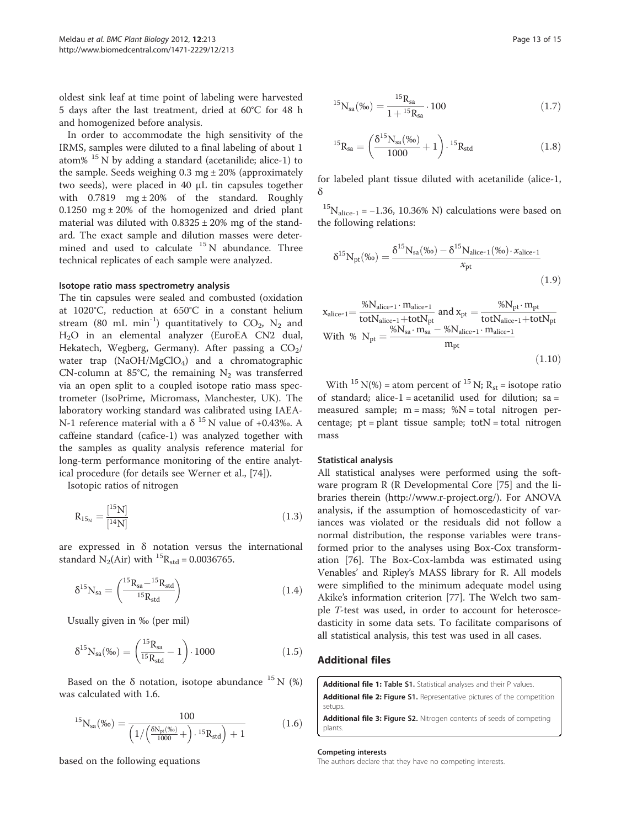<span id="page-12-0"></span>oldest sink leaf at time point of labeling were harvested 5 days after the last treatment, dried at 60°C for 48 h and homogenized before analysis.

In order to accommodate the high sensitivity of the IRMS, samples were diluted to a final labeling of about 1 atom%  $15$  N by adding a standard (acetanilide; alice-1) to the sample. Seeds weighing  $0.3 \text{ mg} \pm 20\%$  (approximately two seeds), were placed in 40 μL tin capsules together with  $0.7819$  mg  $\pm 20\%$  of the standard. Roughly 0.1250  $mg \pm 20\%$  of the homogenized and dried plant material was diluted with  $0.8325 \pm 20\%$  mg of the standard. The exact sample and dilution masses were determined and used to calculate <sup>15</sup> N abundance. Three technical replicates of each sample were analyzed.

#### Isotope ratio mass spectrometry analysis

The tin capsules were sealed and combusted (oxidation at 1020°C, reduction at 650°C in a constant helium stream (80 mL min<sup>-1</sup>) quantitatively to  $CO_2$ ,  $N_2$  and H2O in an elemental analyzer (EuroEA CN2 dual, Hekatech, Wegberg, Germany). After passing a  $CO<sub>2</sub>/$ water trap  $(NaOH/MgClO<sub>4</sub>)$  and a chromatographic CN-column at 85°C, the remaining  $N_2$  was transferred via an open split to a coupled isotope ratio mass spectrometer (IsoPrime, Micromass, Manchester, UK). The laboratory working standard was calibrated using IAEA-N-1 reference material with a  $\delta$  <sup>15</sup> N value of +0.43‰. A caffeine standard (cafice-1) was analyzed together with the samples as quality analysis reference material for long-term performance monitoring of the entire analytical procedure (for details see Werner et al., [\[74](#page-14-0)]).

Isotopic ratios of nitrogen

$$
R_{15_N} = \frac{[^{15}N]}{[^{14}N]} \tag{1.3}
$$

are expressed in δ notation versus the international standard N<sub>2</sub>(Air) with  ${}^{15}R_{std} = 0.0036765$ .

$$
\delta^{15} N_{sa} = \left( \frac{^{15} R_{sa} - ^{15} R_{std}}{^{15} R_{std}} \right) \tag{1.4}
$$

Usually given in ‰ (per mil)

$$
\delta^{15} N_{sa}(\text{\%o}) = \left(\frac{^{15}R_{sa}}{^{15}R_{std}} - 1\right) \cdot 1000\tag{1.5}
$$

Based on the  $\delta$  notation, isotope abundance  $^{15}$  N (%) was calculated with 1.6.

$$
^{15}N_{sa}(\text{\%o}) = \frac{100}{\left(1/\left(\frac{\delta N_{pt}(\text{\%o})}{1000} + \right) \cdot {}^{15}R_{std}\right) + 1}
$$
(1.6)

based on the following equations

$$
{}^{15}N_{sa}(\%o) = \frac{{}^{15}R_{sa}}{{}^{1+}{}^{15}R_{sa}} \cdot 100
$$
 (1.7)

$$
{}^{15}R_{sa} = \left(\frac{\delta^{15}N_{sa}(\text{\%o})}{1000} + 1\right) \cdot {}^{15}R_{std} \tag{1.8}
$$

for labeled plant tissue diluted with acetanilide (alice-1, δ

 $^{15}N_{\text{alice-1}}$  = -1.36, 10.36% N) calculations were based on the following relations:

$$
\delta^{15}N_{\rm pt}(\%o) = \frac{\delta^{15}N_{\rm sa}(\%o) - \delta^{15}N_{\rm alice-1}(\%o) \cdot x_{\rm alice-1}}{x_{\rm pt}}\tag{1.9}
$$

$$
x_{\text{alice-1}} = \frac{\%N_{\text{alice-1}} \cdot m_{\text{alice-1}}}{\text{tot}N_{\text{alice-1}} + \text{tot}N_{\text{pt}}} \text{ and } x_{\text{pt}} = \frac{\%N_{\text{pt}} \cdot m_{\text{pt}}}{\text{tot}N_{\text{alice-1}} + \text{tot}N_{\text{pt}}}
$$
  
With %  $N_{\text{pt}} = \frac{\%N_{\text{sa}} \cdot m_{\text{sa}} - \%N_{\text{alice-1}} \cdot m_{\text{alice-1}}}{m_{\text{pt}}}$  (1.10)

With <sup>15</sup> N(%) = atom percent of <sup>15</sup> N; R<sub>st</sub> = isotope ratio of standard; alice-1 = acetanilid used for dilution; sa = measured sample;  $m = mass$ ;  $%N = total$  nitrogen percentage;  $pt = plant$  tissue sample;  $totN = total$  nitrogen mass

#### Statistical analysis

All statistical analyses were performed using the software program R (R Developmental Core [[75\]](#page-14-0) and the libraries therein (<http://www.r-project.org/>). For ANOVA analysis, if the assumption of homoscedasticity of variances was violated or the residuals did not follow a normal distribution, the response variables were transformed prior to the analyses using Box-Cox transformation [\[76\]](#page-14-0). The Box-Cox-lambda was estimated using Venables' and Ripley's MASS library for R. All models were simplified to the minimum adequate model using Akike's information criterion [\[77\]](#page-14-0). The Welch two sample T-test was used, in order to account for heteroscedasticity in some data sets. To facilitate comparisons of all statistical analysis, this test was used in all cases.

#### Additional files

[Additional file 1:](http://www.biomedcentral.com/content/supplementary/1471-2229-12-213-S1.docx) Table S1. Statistical analyses and their P values. [Additional file 2:](http://www.biomedcentral.com/content/supplementary/1471-2229-12-213-S2.jpeg) Figure S1. Representative pictures of the competition setups.

[Additional file 3:](http://www.biomedcentral.com/content/supplementary/1471-2229-12-213-S3.jpeg) Figure S2. Nitrogen contents of seeds of competing plants.

#### Competing interests

The authors declare that they have no competing interests.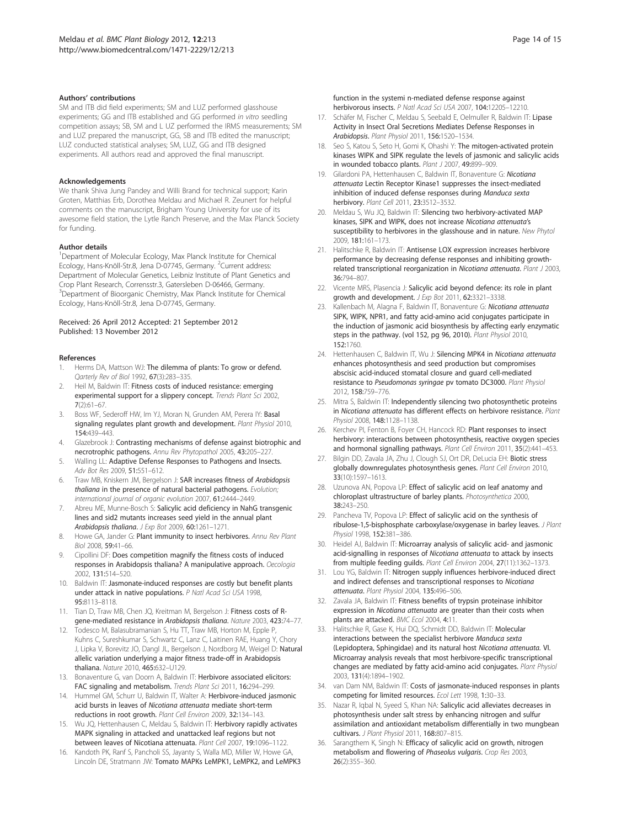#### <span id="page-13-0"></span>Authors' contributions

SM and ITB did field experiments; SM and LUZ performed glasshouse experiments; GG and ITB established and GG performed in vitro seedling competition assays; SB, SM and L UZ performed the IRMS measurements; SM and LUZ prepared the manuscript, GG, SB and ITB edited the manuscript; LUZ conducted statistical analyses; SM, LUZ, GG and ITB designed experiments. All authors read and approved the final manuscript.

#### Acknowledgements

We thank Shiva Jung Pandey and Willi Brand for technical support; Karin Groten, Matthias Erb, Dorothea Meldau and Michael R. Zeunert for helpful comments on the manuscript, Brigham Young University for use of its awesome field station, the Lytle Ranch Preserve, and the Max Planck Society for funding.

#### Author details

<sup>1</sup>Department of Molecular Ecology, Max Planck Institute for Chemical Ecology, Hans-Knöll-Str.8, Jena D-07745, Germany. <sup>2</sup>Current address: Department of Molecular Genetics, Leibniz Institute of Plant Genetics and Crop Plant Research, Corrensstr.3, Gatersleben D-06466, Germany. <sup>3</sup>Department of Bioorganic Chemistry, Max Planck Institute for Chemical Ecology, Hans-Knöll-Str.8, Jena D-07745, Germany.

#### Received: 26 April 2012 Accepted: 21 September 2012 Published: 13 November 2012

#### References

- 1. Herms DA, Mattson WJ: The dilemma of plants: To grow or defend. Qarterly Rev of Biol 1992, 67(3):283–335.
- Heil M, Baldwin IT: Fitness costs of induced resistance: emerging experimental support for a slippery concept. Trends Plant Sci 2002, 7(2):61–67.
- Boss WF, Sederoff HW, Im YJ, Moran N, Grunden AM, Perera IY: Basal signaling regulates plant growth and development. Plant Physiol 2010, 154:439–443.
- 4. Glazebrook J: Contrasting mechanisms of defense against biotrophic and necrotrophic pathogens. Annu Rev Phytopathol 2005, 43:205–227.
- Walling LL: Adaptive Defense Responses to Pathogens and Insects. Adv Bot Res 2009, 51:551–612.
- 6. Traw MB, Kniskern JM, Bergelson J: SAR increases fitness of Arabidopsis thaliana in the presence of natural bacterial pathogens. Evolution; international journal of organic evolution 2007, 61:2444–2449.
- 7. Abreu ME, Munne-Bosch S: Salicylic acid deficiency in NahG transgenic lines and sid2 mutants increases seed yield in the annual plant Arabidopsis thaliana. J Exp Bot 2009, 60:1261–1271.
- 8. Howe GA, Jander G: Plant immunity to insect herbivores. Annu Rev Plant Biol 2008, 59:41–66.
- 9. Cipollini DF: Does competition magnify the fitness costs of induced responses in Arabidopsis thaliana? A manipulative approach. Oecologia 2002, 131:514–520.
- 10. Baldwin IT: Jasmonate-induced responses are costly but benefit plants under attack in native populations. P Natl Acad Sci USA 1998, 95:8113–8118.
- 11. Tian D, Traw MB, Chen JQ, Kreitman M, Bergelson J: Fitness costs of Rgene-mediated resistance in Arabidopsis thaliana. Nature 2003, 423:74–77.
- 12. Todesco M, Balasubramanian S, Hu TT, Traw MB, Horton M, Epple P, Kuhns C, Sureshkumar S, Schwartz C, Lanz C, Laitinen RAE, Huang Y, Chory J, Lipka V, Borevitz JO, Dangl JL, Bergelson J, Nordborg M, Weigel D: Natural allelic variation underlying a major fitness trade-off in Arabidopsis thaliana. Nature 2010, 465:632–U129.
- 13. Bonaventure G, van Doorn A, Baldwin IT: Herbivore associated elicitors: FAC signaling and metabolism. Trends Plant Sci 2011, 16:294–299.
- 14. Hummel GM, Schurr U, Baldwin IT, Walter A: Herbivore-induced jasmonic acid bursts in leaves of Nicotiana attenuata mediate short-term reductions in root growth. Plant Cell Environ 2009, 32:134–143.
- 15. Wu JQ, Hettenhausen C, Meldau S, Baldwin IT: Herbivory rapidly activates MAPK signaling in attacked and unattacked leaf regions but not between leaves of Nicotiana attenuata. Plant Cell 2007, 19:1096–1122.
- 16. Kandoth PK, Ranf S, Pancholi SS, Jayanty S, Walla MD, Miller W, Howe GA, Lincoln DE, Stratmann JW: Tomato MAPKs LeMPK1, LeMPK2, and LeMPK3

function in the systemi n-mediated defense response against herbivorous insects. P Natl Acad Sci USA 2007, 104:12205–12210.

- 17. Schäfer M, Fischer C, Meldau S, Seebald E, Oelmuller R, Baldwin IT: Lipase Activity in Insect Oral Secretions Mediates Defense Responses in Arabidopsis. Plant Physiol 2011, 156:1520–1534.
- 18. Seo S, Katou S, Seto H, Gomi K, Ohashi Y: The mitogen-activated protein kinases WIPK and SIPK regulate the levels of jasmonic and salicylic acids in wounded tobacco plants. Plant J 2007, 49:899-909.
- 19. Gilardoni PA, Hettenhausen C, Baldwin IT, Bonaventure G: Nicotiana attenuata Lectin Receptor Kinase1 suppresses the insect-mediated inhibition of induced defense responses during Manduca sexta herbivory. Plant Cell 2011, 23:3512–3532.
- 20. Meldau S, Wu JQ, Baldwin IT: Silencing two herbivory-activated MAP kinases, SIPK and WIPK, does not increase Nicotiana attenuata's susceptibility to herbivores in the glasshouse and in nature. New Phytol 2009, 181:161–173.
- 21. Halitschke R, Baldwin IT: Antisense LOX expression increases herbivore performance by decreasing defense responses and inhibiting growthrelated transcriptional reorganization in Nicotiana attenuata. Plant J 2003, 36:794–807.
- 22. Vicente MRS, Plasencia J: Salicylic acid beyond defence: its role in plant growth and development. J Exp Bot 2011, 62:3321-3338.
- Kallenbach M, Alagna F, Baldwin IT, Bonaventure G: Nicotiana attenuata SIPK, WIPK, NPR1, and fatty acid-amino acid conjugates participate in the induction of jasmonic acid biosynthesis by affecting early enzymatic steps in the pathway. (vol 152, pg 96, 2010). Plant Physiol 2010, 152:1760.
- 24. Hettenhausen C, Baldwin IT, Wu J: Silencing MPK4 in Nicotiana attenuata enhances photosynthesis and seed production but compromises abscisic acid-induced stomatal closure and guard cell-mediated resistance to Pseudomonas syringae pv tomato DC3000. Plant Physiol 2012, 158:759–776.
- 25. Mitra S, Baldwin IT: Independently silencing two photosynthetic proteins in Nicotiana attenuata has different effects on herbivore resistance. Plant Physiol 2008, 148:1128–1138.
- 26. Kerchev PI, Fenton B, Foyer CH, Hancock RD: Plant responses to insect herbivory: interactions between photosynthesis, reactive oxygen species and hormonal signalling pathways. Plant Cell Environ 2011, 35(2):441–453.
- 27. Bilgin DD, Zavala JA, Zhu J, Clough SJ, Ort DR, DeLucia EH: Biotic stress globally downregulates photosynthesis genes. Plant Cell Environ 2010, 33(10):1597–1613.
- 28. Uzunova AN, Popova LP: Effect of salicylic acid on leaf anatomy and chloroplast ultrastructure of barley plants. Photosynthetica 2000, 38:243–250.
- 29. Pancheva TV, Popova LP: Effect of salicylic acid on the synthesis of ribulose-1,5-bisphosphate carboxylase/oxygenase in barley leaves. J Plant Physiol 1998, 152:381–386.
- 30. Heidel AJ, Baldwin IT: Microarray analysis of salicylic acid- and jasmonic acid-signalling in responses of Nicotiana attenuata to attack by insects from multiple feeding guilds. Plant Cell Environ 2004, 27(11):1362–1373.
- 31. Lou YG, Baldwin IT: Nitrogen supply influences herbivore-induced direct and indirect defenses and transcriptional responses to Nicotiana attenuata. Plant Physiol 2004, 135:496–506.
- 32. Zavala JA, Baldwin IT: Fitness benefits of trypsin proteinase inhibitor expression in Nicotiana attenuata are greater than their costs when plants are attacked. BMC Ecol 2004, 4:11.
- Halitschke R, Gase K, Hui DQ, Schmidt DD, Baldwin IT: Molecular interactions between the specialist herbivore Manduca sexta (Lepidoptera, Sphingidae) and its natural host Nicotiana attenuata. VI. Microarray analysis reveals that most herbivore-specific transcriptional changes are mediated by fatty acid-amino acid conjugates. Plant Physiol 2003, 131(4):1894–1902.
- 34. van Dam NM, Baldwin IT: Costs of jasmonate-induced responses in plants competing for limited resources. Ecol Lett 1998, 1:30–33.
- 35. Nazar R, Iqbal N, Syeed S, Khan NA: Salicylic acid alleviates decreases in photosynthesis under salt stress by enhancing nitrogen and sulfur assimilation and antioxidant metabolism differentially in two mungbean cultivars. J Plant Physiol 2011, 168:807-815.
- 36. Sarangthem K, Singh N: Efficacy of salicylic acid on growth, nitrogen metabolism and flowering of Phaseolus vulgaris. Crop Res 2003, 26(2):355–360.